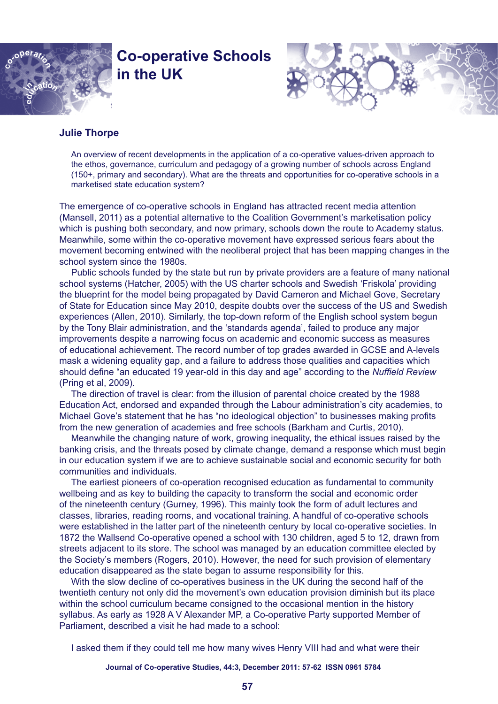

# **Co-operative Schools in the UK**



## **Julie Thorpe**

An overview of recent developments in the application of a co-operative values-driven approach to the ethos, governance, curriculum and pedagogy of a growing number of schools across England (150+, primary and secondary). What are the threats and opportunities for co-operative schools in a marketised state education system?

The emergence of co-operative schools in England has attracted recent media attention (Mansell, 2011) as a potential alternative to the Coalition Government's marketisation policy which is pushing both secondary, and now primary, schools down the route to Academy status. Meanwhile, some within the co-operative movement have expressed serious fears about the movement becoming entwined with the neoliberal project that has been mapping changes in the school system since the 1980s.

Public schools funded by the state but run by private providers are a feature of many national school systems (Hatcher, 2005) with the US charter schools and Swedish 'Friskola' providing the blueprint for the model being propagated by David Cameron and Michael Gove, Secretary of State for Education since May 2010, despite doubts over the success of the US and Swedish experiences (Allen, 2010). Similarly, the top-down reform of the English school system begun by the Tony Blair administration, and the 'standards agenda', failed to produce any major improvements despite a narrowing focus on academic and economic success as measures of educational achievement. The record number of top grades awarded in GCSE and A-levels mask a widening equality gap, and a failure to address those qualities and capacities which should define "an educated 19 year-old in this day and age" according to the *Nuffield Review*  (Pring et al, 2009)*.*

The direction of travel is clear: from the illusion of parental choice created by the 1988 Education Act, endorsed and expanded through the Labour administration's city academies, to Michael Gove's statement that he has "no ideological objection" to businesses making profits from the new generation of academies and free schools (Barkham and Curtis, 2010).

Meanwhile the changing nature of work, growing inequality, the ethical issues raised by the banking crisis, and the threats posed by climate change, demand a response which must begin in our education system if we are to achieve sustainable social and economic security for both communities and individuals.

The earliest pioneers of co-operation recognised education as fundamental to community wellbeing and as key to building the capacity to transform the social and economic order of the nineteenth century (Gurney, 1996). This mainly took the form of adult lectures and classes, libraries, reading rooms, and vocational training. A handful of co-operative schools were established in the latter part of the nineteenth century by local co-operative societies. In 1872 the Wallsend Co-operative opened a school with 130 children, aged 5 to 12, drawn from streets adjacent to its store. The school was managed by an education committee elected by the Society's members (Rogers, 2010). However, the need for such provision of elementary education disappeared as the state began to assume responsibility for this.

With the slow decline of co-operatives business in the UK during the second half of the twentieth century not only did the movement's own education provision diminish but its place within the school curriculum became consigned to the occasional mention in the history syllabus. As early as 1928 A V Alexander MP, a Co-operative Party supported Member of Parliament, described a visit he had made to a school:

I asked them if they could tell me how many wives Henry VIII had and what were their

**Journal of Co-operative Studies, 44:3, December 2011: 57-62 ISSN 0961 5784**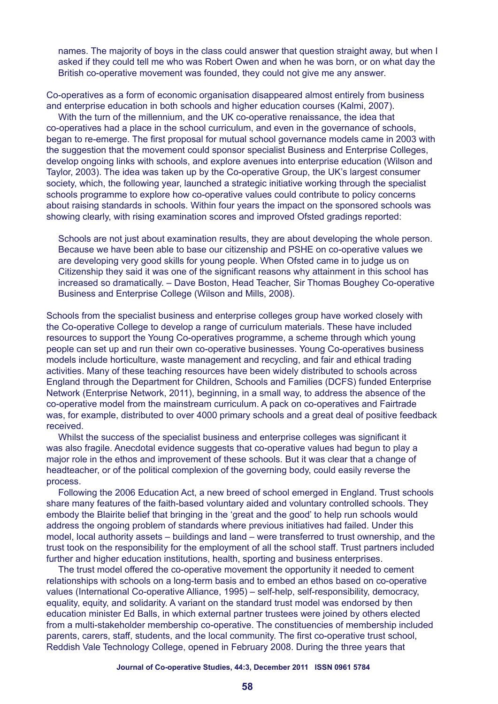names. The majority of boys in the class could answer that question straight away, but when I asked if they could tell me who was Robert Owen and when he was born, or on what day the British co-operative movement was founded, they could not give me any answer.

Co-operatives as a form of economic organisation disappeared almost entirely from business and enterprise education in both schools and higher education courses (Kalmi, 2007).

With the turn of the millennium, and the UK co-operative renaissance, the idea that co-operatives had a place in the school curriculum, and even in the governance of schools, began to re-emerge. The first proposal for mutual school governance models came in 2003 with the suggestion that the movement could sponsor specialist Business and Enterprise Colleges, develop ongoing links with schools, and explore avenues into enterprise education (Wilson and Taylor, 2003). The idea was taken up by the Co-operative Group, the UK's largest consumer society, which, the following year, launched a strategic initiative working through the specialist schools programme to explore how co-operative values could contribute to policy concerns about raising standards in schools. Within four years the impact on the sponsored schools was showing clearly, with rising examination scores and improved Ofsted gradings reported:

Schools are not just about examination results, they are about developing the whole person. Because we have been able to base our citizenship and PSHE on co-operative values we are developing very good skills for young people. When Ofsted came in to judge us on Citizenship they said it was one of the significant reasons why attainment in this school has increased so dramatically. – Dave Boston, Head Teacher, Sir Thomas Boughey Co-operative Business and Enterprise College (Wilson and Mills, 2008).

Schools from the specialist business and enterprise colleges group have worked closely with the Co-operative College to develop a range of curriculum materials. These have included resources to support the Young Co-operatives programme, a scheme through which young people can set up and run their own co-operative businesses. Young Co-operatives business models include horticulture, waste management and recycling, and fair and ethical trading activities. Many of these teaching resources have been widely distributed to schools across England through the Department for Children, Schools and Families (DCFS) funded Enterprise Network (Enterprise Network, 2011), beginning, in a small way, to address the absence of the co-operative model from the mainstream curriculum. A pack on co-operatives and Fairtrade was, for example, distributed to over 4000 primary schools and a great deal of positive feedback received.

Whilst the success of the specialist business and enterprise colleges was significant it was also fragile. Anecdotal evidence suggests that co-operative values had begun to play a major role in the ethos and improvement of these schools. But it was clear that a change of headteacher, or of the political complexion of the governing body, could easily reverse the process.

Following the 2006 Education Act, a new breed of school emerged in England. Trust schools share many features of the faith-based voluntary aided and voluntary controlled schools. They embody the Blairite belief that bringing in the 'great and the good' to help run schools would address the ongoing problem of standards where previous initiatives had failed. Under this model, local authority assets – buildings and land – were transferred to trust ownership, and the trust took on the responsibility for the employment of all the school staff. Trust partners included further and higher education institutions, health, sporting and business enterprises.

The trust model offered the co-operative movement the opportunity it needed to cement relationships with schools on a long-term basis and to embed an ethos based on co-operative values (International Co-operative Alliance, 1995) – self-help, self-responsibility, democracy, equality, equity, and solidarity. A variant on the standard trust model was endorsed by then education minister Ed Balls, in which external partner trustees were joined by others elected from a multi-stakeholder membership co-operative. The constituencies of membership included parents, carers, staff, students, and the local community. The first co-operative trust school, Reddish Vale Technology College, opened in February 2008. During the three years that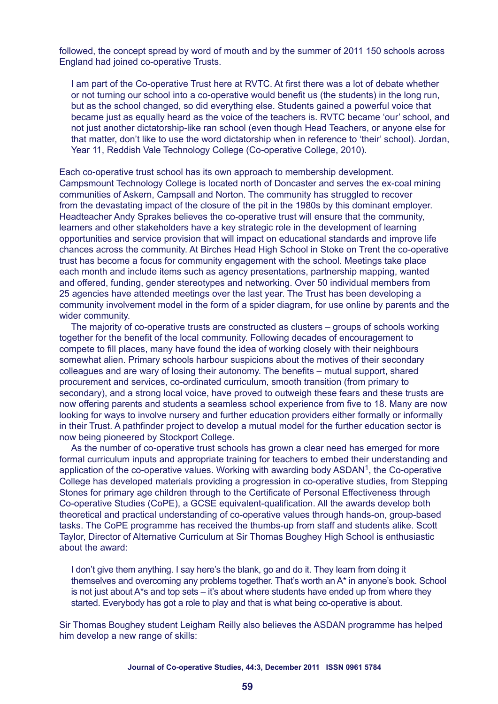followed, the concept spread by word of mouth and by the summer of 2011 150 schools across England had joined co-operative Trusts.

I am part of the Co-operative Trust here at RVTC. At first there was a lot of debate whether or not turning our school into a co-operative would benefit us (the students) in the long run, but as the school changed, so did everything else. Students gained a powerful voice that became just as equally heard as the voice of the teachers is. RVTC became 'our' school, and not just another dictatorship-like ran school (even though Head Teachers, or anyone else for that matter, don't like to use the word dictatorship when in reference to 'their' school). Jordan, Year 11, Reddish Vale Technology College (Co-operative College, 2010).

Each co-operative trust school has its own approach to membership development. Campsmount Technology College is located north of Doncaster and serves the ex-coal mining communities of Askern, Campsall and Norton. The community has struggled to recover from the devastating impact of the closure of the pit in the 1980s by this dominant employer. Headteacher Andy Sprakes believes the co-operative trust will ensure that the community, learners and other stakeholders have a key strategic role in the development of learning opportunities and service provision that will impact on educational standards and improve life chances across the community. At Birches Head High School in Stoke on Trent the co-operative trust has become a focus for community engagement with the school. Meetings take place each month and include items such as agency presentations, partnership mapping, wanted and offered, funding, gender stereotypes and networking. Over 50 individual members from 25 agencies have attended meetings over the last year. The Trust has been developing a community involvement model in the form of a spider diagram, for use online by parents and the wider community.

The majority of co-operative trusts are constructed as clusters – groups of schools working together for the benefit of the local community. Following decades of encouragement to compete to fill places, many have found the idea of working closely with their neighbours somewhat alien. Primary schools harbour suspicions about the motives of their secondary colleagues and are wary of losing their autonomy. The benefits – mutual support, shared procurement and services, co-ordinated curriculum, smooth transition (from primary to secondary), and a strong local voice, have proved to outweigh these fears and these trusts are now offering parents and students a seamless school experience from five to 18. Many are now looking for ways to involve nursery and further education providers either formally or informally in their Trust. A pathfinder project to develop a mutual model for the further education sector is now being pioneered by Stockport College.

As the number of co-operative trust schools has grown a clear need has emerged for more formal curriculum inputs and appropriate training for teachers to embed their understanding and application of the co-operative values. Working with awarding body  $ASDAN<sup>1</sup>$ , the Co-operative College has developed materials providing a progression in co-operative studies, from Stepping Stones for primary age children through to the Certificate of Personal Effectiveness through Co-operative Studies (CoPE), a GCSE equivalent-qualification. All the awards develop both theoretical and practical understanding of co-operative values through hands-on, group-based tasks. The CoPE programme has received the thumbs-up from staff and students alike. Scott Taylor, Director of Alternative Curriculum at Sir Thomas Boughey High School is enthusiastic about the award:

I don't give them anything. I say here's the blank, go and do it. They learn from doing it themselves and overcoming any problems together. That's worth an A\* in anyone's book. School is not just about A\*s and top sets – it's about where students have ended up from where they started. Everybody has got a role to play and that is what being co-operative is about.

Sir Thomas Boughey student Leigham Reilly also believes the ASDAN programme has helped him develop a new range of skills: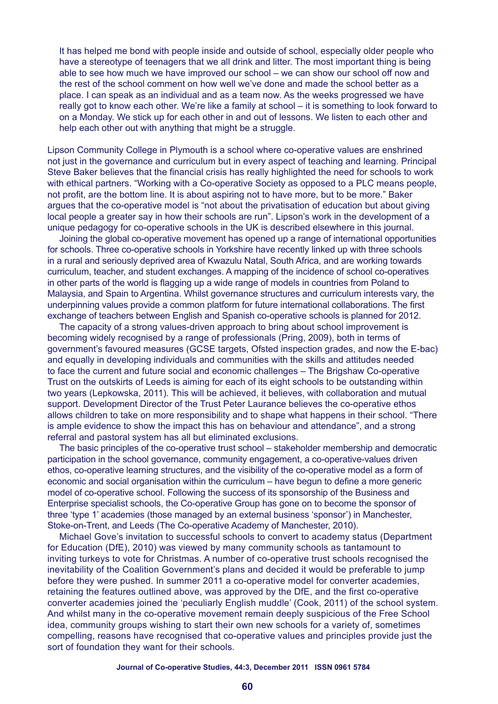It has helped me bond with people inside and outside of school, especially older people who have a stereotype of teenagers that we all drink and litter. The most important thing is being able to see how much we have improved our school – we can show our school off now and the rest of the school comment on how well we've done and made the school better as a place. I can speak as an individual and as a team now. As the weeks progressed we have really got to know each other. We're like a family at school – it is something to look forward to on a Monday. We stick up for each other in and out of lessons. We listen to each other and help each other out with anything that might be a struggle.

Lipson Community College in Plymouth is a school where co-operative values are enshrined not just in the governance and curriculum but in every aspect of teaching and learning. Principal Steve Baker believes that the financial crisis has really highlighted the need for schools to work with ethical partners. "Working with a Co-operative Society as opposed to a PLC means people, not profit, are the bottom line. It is about aspiring not to have more, but to be more." Baker argues that the co-operative model is "not about the privatisation of education but about giving local people a greater say in how their schools are run". Lipson's work in the development of a unique pedagogy for co-operative schools in the UK is described elsewhere in this journal.

Joining the global co-operative movement has opened up a range of international opportunities for schools. Three co-operative schools in Yorkshire have recently linked up with three schools in a rural and seriously deprived area of Kwazulu Natal, South Africa, and are working towards curriculum, teacher, and student exchanges. A mapping of the incidence of school co-operatives in other parts of the world is flagging up a wide range of models in countries from Poland to Malaysia, and Spain to Argentina. Whilst governance structures and curriculum interests vary, the underpinning values provide a common platform for future international collaborations. The first exchange of teachers between English and Spanish co-operative schools is planned for 2012.

The capacity of a strong values-driven approach to bring about school improvement is becoming widely recognised by a range of professionals (Pring, 2009), both in terms of government's favoured measures (GCSE targets, Ofsted inspection grades, and now the E-bac) and equally in developing individuals and communities with the skills and attitudes needed to face the current and future social and economic challenges – The Brigshaw Co-operative Trust on the outskirts of Leeds is aiming for each of its eight schools to be outstanding within two years (Lepkowska, 2011). This will be achieved, it believes, with collaboration and mutual support. Development Director of the Trust Peter Laurance believes the co-operative ethos allows children to take on more responsibility and to shape what happens in their school. "There is ample evidence to show the impact this has on behaviour and attendance", and a strong referral and pastoral system has all but eliminated exclusions.

The basic principles of the co-operative trust school – stakeholder membership and democratic participation in the school governance, community engagement, a co-operative-values driven ethos, co-operative learning structures, and the visibility of the co-operative model as a form of economic and social organisation within the curriculum – have begun to define a more generic model of co-operative school. Following the success of its sponsorship of the Business and Enterprise specialist schools, the Co-operative Group has gone on to become the sponsor of three 'type 1' academies (those managed by an external business 'sponsor') in Manchester, Stoke-on-Trent, and Leeds (The Co-operative Academy of Manchester, 2010).

Michael Gove's invitation to successful schools to convert to academy status (Department for Education (DfE), 2010) was viewed by many community schools as tantamount to inviting turkeys to vote for Christmas. A number of co-operative trust schools recognised the inevitability of the Coalition Government's plans and decided it would be preferable to jump before they were pushed. In summer 2011 a co-operative model for converter academies, retaining the features outlined above, was approved by the DfE, and the first co-operative converter academies joined the 'peculiarly English muddle' (Cook, 2011) of the school system. And whilst many in the co-operative movement remain deeply suspicious of the Free School idea, community groups wishing to start their own new schools for a variety of, sometimes compelling, reasons have recognised that co-operative values and principles provide just the sort of foundation they want for their schools.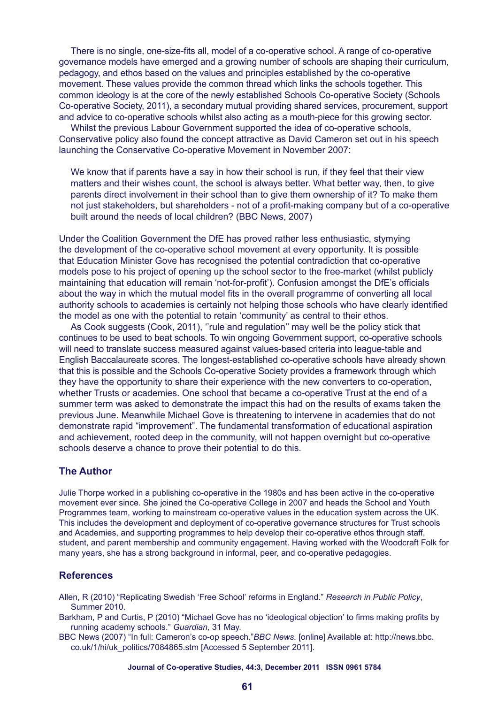There is no single, one-size-fits all, model of a co-operative school. A range of co-operative governance models have emerged and a growing number of schools are shaping their curriculum, pedagogy, and ethos based on the values and principles established by the co-operative movement. These values provide the common thread which links the schools together. This common ideology is at the core of the newly established Schools Co-operative Society (Schools Co-operative Society, 2011), a secondary mutual providing shared services, procurement, support and advice to co-operative schools whilst also acting as a mouth-piece for this growing sector.

Whilst the previous Labour Government supported the idea of co-operative schools, Conservative policy also found the concept attractive as David Cameron set out in his speech launching the Conservative Co-operative Movement in November 2007:

We know that if parents have a say in how their school is run, if they feel that their view matters and their wishes count, the school is always better. What better way, then, to give parents direct involvement in their school than to give them ownership of it? To make them not just stakeholders, but shareholders - not of a profit-making company but of a co-operative built around the needs of local children? (BBC News, 2007)

Under the Coalition Government the DfE has proved rather less enthusiastic, stymying the development of the co-operative school movement at every opportunity. It is possible that Education Minister Gove has recognised the potential contradiction that co-operative models pose to his project of opening up the school sector to the free-market (whilst publicly maintaining that education will remain 'not-for-profit'). Confusion amongst the DfE's officials about the way in which the mutual model fits in the overall programme of converting all local authority schools to academies is certainly not helping those schools who have clearly identified the model as one with the potential to retain 'community' as central to their ethos.

As Cook suggests (Cook, 2011), ''rule and regulation'' may well be the policy stick that continues to be used to beat schools. To win ongoing Government support, co-operative schools will need to translate success measured against values-based criteria into league-table and English Baccalaureate scores. The longest-established co-operative schools have already shown that this is possible and the Schools Co-operative Society provides a framework through which they have the opportunity to share their experience with the new converters to co-operation, whether Trusts or academies. One school that became a co-operative Trust at the end of a summer term was asked to demonstrate the impact this had on the results of exams taken the previous June. Meanwhile Michael Gove is threatening to intervene in academies that do not demonstrate rapid "improvement". The fundamental transformation of educational aspiration and achievement, rooted deep in the community, will not happen overnight but co-operative schools deserve a chance to prove their potential to do this.

### **The Author**

Julie Thorpe worked in a publishing co-operative in the 1980s and has been active in the co-operative movement ever since. She joined the Co-operative College in 2007 and heads the School and Youth Programmes team, working to mainstream co-operative values in the education system across the UK. This includes the development and deployment of co-operative governance structures for Trust schools and Academies, and supporting programmes to help develop their co-operative ethos through staff, student, and parent membership and community engagement. Having worked with the Woodcraft Folk for many years, she has a strong background in informal, peer, and co-operative pedagogies.

#### **References**

Allen, R (2010) "Replicating Swedish 'Free School' reforms in England." *Research in Public Policy*, Summer 2010.

Barkham, P and Curtis, P (2010) "Michael Gove has no 'ideological objection' to firms making profits by running academy schools." *Guardian,* 31 May.

BBC News (2007) "In full: Cameron's co-op speech."*BBC News.* [online] Available at: http://news.bbc. co.uk/1/hi/uk\_politics/7084865.stm [Accessed 5 September 2011].